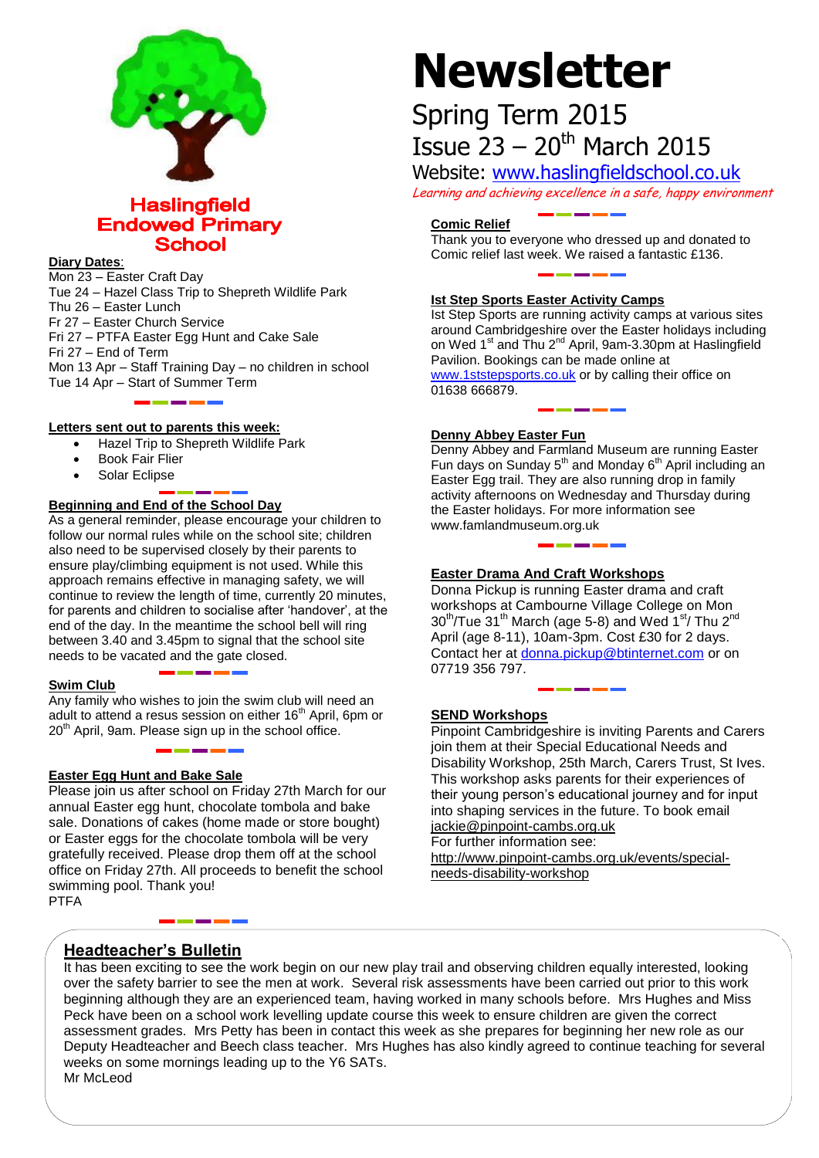

# **Haslingfield Endowed Primary School**

#### **Diary Dates**:

Mon 23 – Easter Craft Day Tue 24 – Hazel Class Trip to Shepreth Wildlife Park Thu 26 – Easter Lunch Fr 27 – Easter Church Service Fri 27 – PTFA Easter Egg Hunt and Cake Sale Fri 27 – End of Term Mon 13 Apr – Staff Training Day – no children in school Tue 14 Apr – Start of Summer Term

#### **Letters sent out to parents this week:**

- Hazel Trip to Shepreth Wildlife Park
- Book Fair Flier
- Solar Eclipse

### **Beginning and End of the School Day**

As a general reminder, please encourage your children to follow our normal rules while on the school site; children also need to be supervised closely by their parents to ensure play/climbing equipment is not used. While this approach remains effective in managing safety, we will continue to review the length of time, currently 20 minutes, for parents and children to socialise after 'handover', at the end of the day. In the meantime the school bell will ring between 3.40 and 3.45pm to signal that the school site needs to be vacated and the gate closed.

#### **Swim Club**

Any family who wishes to join the swim club will need an adult to attend a resus session on either 16<sup>th</sup> April, 6pm or  $20<sup>th</sup>$  April, 9am. Please sign up in the school office.

#### **Easter Egg Hunt and Bake Sale**

Please join us after school on Friday 27th March for our annual Easter egg hunt, chocolate tombola and bake sale. Donations of cakes (home made or store bought) or Easter eggs for the chocolate tombola will be very gratefully received. Please drop them off at the school office on Friday 27th. All proceeds to benefit the school swimming pool. Thank you! PTFA

# **Newsletter**

# Spring Term 2015 Issue  $23 - 20$ <sup>th</sup> March 2015

Website: [www.haslingfieldschool.co.uk](http://www.haslingfieldschool.co.uk/)

Learning and achieving excellence in a safe, happy environment

#### **Comic Relief**

Thank you to everyone who dressed up and donated to Comic relief last week. We raised a fantastic £136.

#### **Ist Step Sports Easter Activity Camps**

Ist Step Sports are running activity camps at various sites around Cambridgeshire over the Easter holidays including on Wed 1<sup>st</sup> and Thu 2<sup>nd</sup> April, 9am-3.30pm at Haslingfield Pavilion. Bookings can be made online at [www.1ststepsports.co.uk](http://www.1ststepsports.co.uk/) or by calling their office on 01638 666879.

#### **Denny Abbey Easter Fun**

Denny Abbey and Farmland Museum are running Easter Fun days on Sunday  $5<sup>th</sup>$  and Monday  $6<sup>th</sup>$  April including an Easter Egg trail. They are also running drop in family activity afternoons on Wednesday and Thursday during the Easter holidays. For more information see www.famlandmuseum.org.uk

#### **Easter Drama And Craft Workshops**

Donna Pickup is running Easter drama and craft workshops at Cambourne Village College on Mon 30th/Tue 31th March (age 5-8) and Wed 1st/ Thu 2nd April (age 8-11), 10am-3pm. Cost £30 for 2 days. Contact her at [donna.pickup@btinternet.com](mailto:donna.pickup@btinternet.com) or on 07719 356 797.

#### **SEND Workshops**

Pinpoint Cambridgeshire is inviting Parents and Carers join them at their Special Educational Needs and Disability Workshop, 25th March, Carers Trust, St Ives. This workshop asks parents for their experiences of their young person's educational journey and for input into shaping services in the future. To book email [jackie@pinpoint-cambs.org.uk](mailto:jackie@pinpoint-cambs.org.uk) For further information see:

[http://www.pinpoint-cambs.org.uk/events/special](http://www.pinpoint-cambs.org.uk/events/special-needs-disability-workshop)[needs-disability-workshop](http://www.pinpoint-cambs.org.uk/events/special-needs-disability-workshop)

# **Headteacher's Bulletin**

It has been exciting to see the work begin on our new play trail and observing children equally interested, looking over the safety barrier to see the men at work. Several risk assessments have been carried out prior to this work beginning although they are an experienced team, having worked in many schools before. Mrs Hughes and Miss Peck have been on a school work levelling update course this week to ensure children are given the correct assessment grades. Mrs Petty has been in contact this week as she prepares for beginning her new role as our Deputy Headteacher and Beech class teacher. Mrs Hughes has also kindly agreed to continue teaching for several weeks on some mornings leading up to the Y6 SATs. Mr McLeod